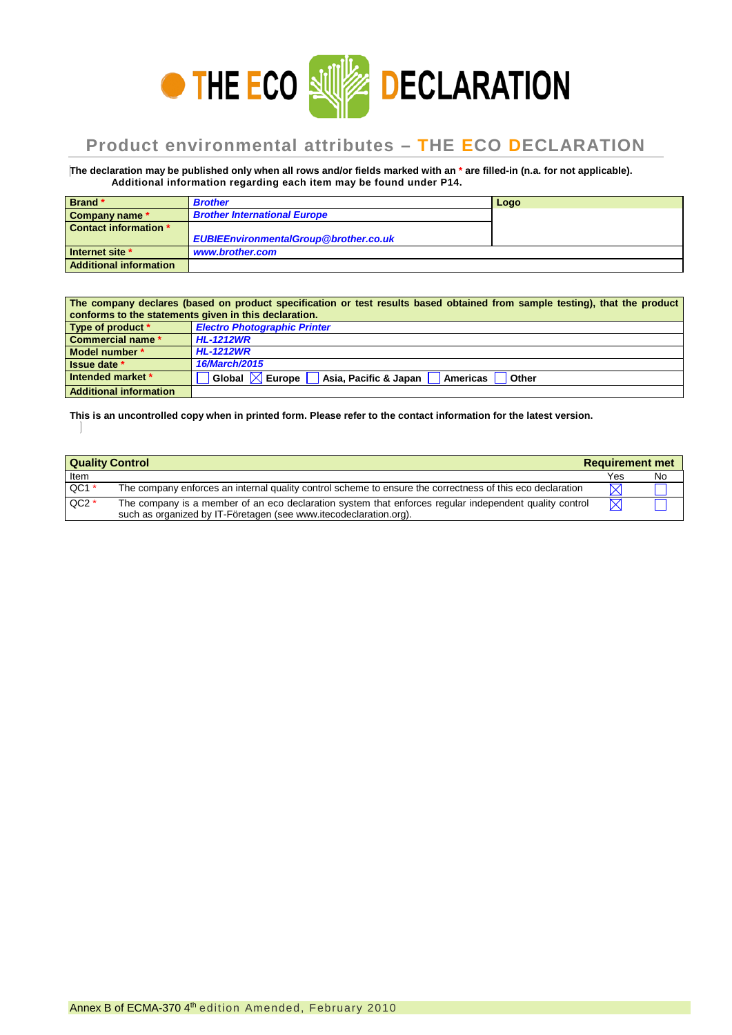

## **Product environmental attributes – THE ECO DECLARATION**

**The declaration may be published only when all rows and/or fields marked with an \* are filled-in (n.a. for not applicable). Additional information regarding each item may be found under P14.**

| Brand*                 | <b>Brother</b>                               | Logo |
|------------------------|----------------------------------------------|------|
| Company name *         | <b>Brother International Europe</b>          |      |
| Contact information *  |                                              |      |
|                        | <b>EUBIEEnvironmentalGroup@brother.co.uk</b> |      |
| Internet site *        | www.brother.com                              |      |
| Additional information |                                              |      |

| The company declares (based on product specification or test results based obtained from sample testing), that the product<br>conforms to the statements given in this declaration. |                                                                                |  |  |  |  |
|-------------------------------------------------------------------------------------------------------------------------------------------------------------------------------------|--------------------------------------------------------------------------------|--|--|--|--|
| Type of product *                                                                                                                                                                   | <b>Electro Photographic Printer</b>                                            |  |  |  |  |
| Commercial name *                                                                                                                                                                   | <b>HL-1212WR</b>                                                               |  |  |  |  |
| Model number *                                                                                                                                                                      | <b>HL-1212WR</b>                                                               |  |  |  |  |
| Issue date *                                                                                                                                                                        | 16/March/2015                                                                  |  |  |  |  |
| Intended market *                                                                                                                                                                   | Global $\boxtimes$ Europe<br>Asia, Pacific & Japan<br><b>Americas</b><br>Other |  |  |  |  |
| <b>Additional information</b>                                                                                                                                                       |                                                                                |  |  |  |  |

**This is an uncontrolled copy when in printed form. Please refer to the contact information for the latest version.**

| <b>Quality Control</b> |                                                                                                                                                                             | <b>Requirement met</b> |    |
|------------------------|-----------------------------------------------------------------------------------------------------------------------------------------------------------------------------|------------------------|----|
| Item                   |                                                                                                                                                                             | Yes                    | No |
| $QC1*$                 | The company enforces an internal quality control scheme to ensure the correctness of this eco declaration                                                                   | $\boxtimes$            |    |
| $QC2*$                 | The company is a member of an eco declaration system that enforces regular independent quality control<br>such as organized by IT-Företagen (see www.itecodeclaration.org). | $\bowtie$              |    |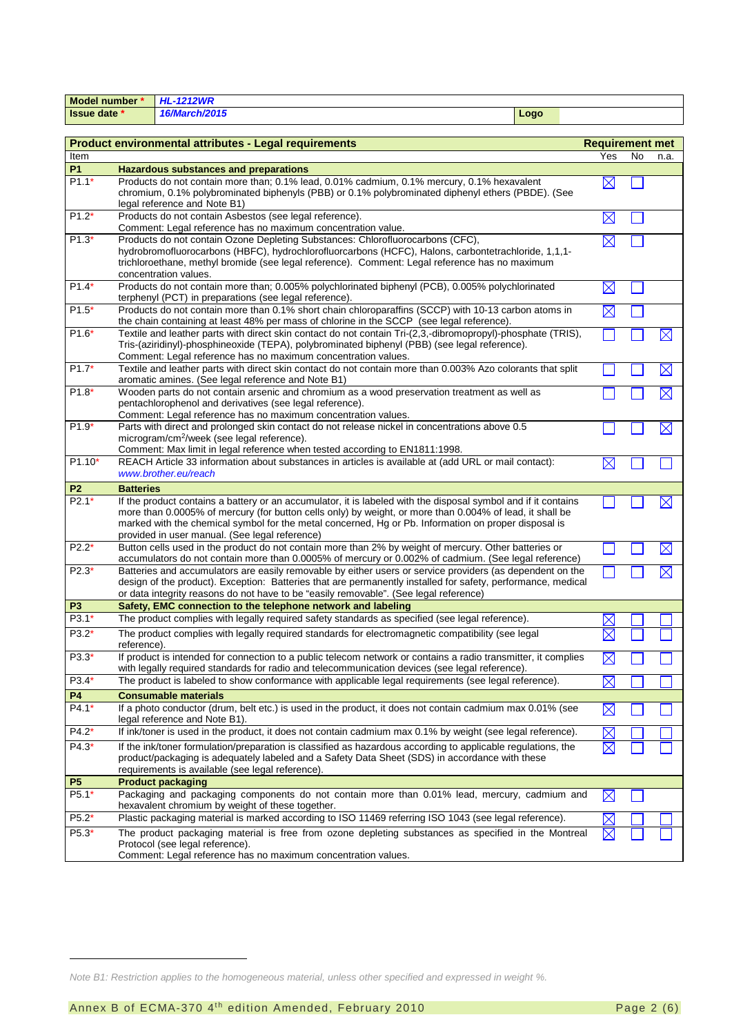| <b>Model number</b> ' | 'L-1212WR     |      |  |
|-----------------------|---------------|------|--|
| Issue date *          | 16/March/2015 | Logo |  |

| <b>Product environmental attributes - Legal requirements</b> | <b>Requirement met</b>                                                                                                                                                                                                                                                                                                                                                               |             |    |             |
|--------------------------------------------------------------|--------------------------------------------------------------------------------------------------------------------------------------------------------------------------------------------------------------------------------------------------------------------------------------------------------------------------------------------------------------------------------------|-------------|----|-------------|
| Item                                                         |                                                                                                                                                                                                                                                                                                                                                                                      | Yes         | No | n.a.        |
| P1                                                           | <b>Hazardous substances and preparations</b>                                                                                                                                                                                                                                                                                                                                         |             |    |             |
| $P1.1*$                                                      | Products do not contain more than; 0.1% lead, 0.01% cadmium, 0.1% mercury, 0.1% hexavalent<br>chromium, 0.1% polybrominated biphenyls (PBB) or 0.1% polybrominated diphenyl ethers (PBDE). (See<br>legal reference and Note B1)                                                                                                                                                      | $\boxtimes$ |    |             |
| $P1.2*$                                                      | Products do not contain Asbestos (see legal reference).<br>Comment: Legal reference has no maximum concentration value.                                                                                                                                                                                                                                                              | $\boxtimes$ |    |             |
| $P1.3*$                                                      | Products do not contain Ozone Depleting Substances: Chlorofluorocarbons (CFC),<br>hydrobromofluorocarbons (HBFC), hydrochlorofluorcarbons (HCFC), Halons, carbontetrachloride, 1,1,1-<br>trichloroethane, methyl bromide (see legal reference). Comment: Legal reference has no maximum<br>concentration values.                                                                     | $\boxtimes$ |    |             |
| $P1.4*$                                                      | Products do not contain more than; 0.005% polychlorinated biphenyl (PCB), 0.005% polychlorinated<br>terphenyl (PCT) in preparations (see legal reference).                                                                                                                                                                                                                           | $\bowtie$   |    |             |
| $P1.5*$                                                      | Products do not contain more than 0.1% short chain chloroparaffins (SCCP) with 10-13 carbon atoms in<br>the chain containing at least 48% per mass of chlorine in the SCCP (see legal reference).                                                                                                                                                                                    | ⊠           |    |             |
| $P1.6*$                                                      | Textile and leather parts with direct skin contact do not contain Tri-(2,3,-dibromopropyl)-phosphate (TRIS),<br>Tris-(aziridinyl)-phosphineoxide (TEPA), polybrominated biphenyl (PBB) (see legal reference).<br>Comment: Legal reference has no maximum concentration values.                                                                                                       |             |    | $\times$    |
| $P1.7*$                                                      | Textile and leather parts with direct skin contact do not contain more than 0.003% Azo colorants that split<br>aromatic amines. (See legal reference and Note B1)                                                                                                                                                                                                                    |             |    | $\boxtimes$ |
| $P1.8*$                                                      | Wooden parts do not contain arsenic and chromium as a wood preservation treatment as well as<br>pentachlorophenol and derivatives (see legal reference).<br>Comment: Legal reference has no maximum concentration values.                                                                                                                                                            |             |    | $\boxtimes$ |
| $P1.9*$                                                      | Parts with direct and prolonged skin contact do not release nickel in concentrations above 0.5<br>microgram/cm <sup>2</sup> /week (see legal reference).<br>Comment: Max limit in legal reference when tested according to EN1811:1998.                                                                                                                                              |             |    | $\boxtimes$ |
| $P1.10*$                                                     | REACH Article 33 information about substances in articles is available at (add URL or mail contact):<br>www.brother.eu/reach                                                                                                                                                                                                                                                         | $\boxtimes$ |    |             |
| P <sub>2</sub>                                               | <b>Batteries</b>                                                                                                                                                                                                                                                                                                                                                                     |             |    |             |
| $P2.1*$                                                      | If the product contains a battery or an accumulator, it is labeled with the disposal symbol and if it contains<br>more than 0.0005% of mercury (for button cells only) by weight, or more than 0.004% of lead, it shall be<br>marked with the chemical symbol for the metal concerned, Hg or Pb. Information on proper disposal is<br>provided in user manual. (See legal reference) |             |    | $\times$    |
| $P2.2*$                                                      | Button cells used in the product do not contain more than 2% by weight of mercury. Other batteries or<br>accumulators do not contain more than 0.0005% of mercury or 0.002% of cadmium. (See legal reference)                                                                                                                                                                        |             |    | $\boxtimes$ |
| $P2.3*$                                                      | Batteries and accumulators are easily removable by either users or service providers (as dependent on the<br>design of the product). Exception: Batteries that are permanently installed for safety, performance, medical<br>or data integrity reasons do not have to be "easily removable". (See legal reference)                                                                   |             |    |             |
| P <sub>3</sub>                                               | Safety, EMC connection to the telephone network and labeling                                                                                                                                                                                                                                                                                                                         |             |    |             |
| P3.1*                                                        | The product complies with legally required safety standards as specified (see legal reference).                                                                                                                                                                                                                                                                                      |             |    |             |
| $P3.2*$                                                      | The product complies with legally required standards for electromagnetic compatibility (see legal<br>reference).                                                                                                                                                                                                                                                                     |             |    |             |
| P3.3*                                                        | If product is intended for connection to a public telecom network or contains a radio transmitter, it complies<br>with legally required standards for radio and telecommunication devices (see legal reference).                                                                                                                                                                     | $\boxtimes$ |    |             |
| $P3.4*$                                                      | The product is labeled to show conformance with applicable legal requirements (see legal reference).                                                                                                                                                                                                                                                                                 | $\boxtimes$ |    |             |
| <b>P4</b>                                                    | <b>Consumable materials</b>                                                                                                                                                                                                                                                                                                                                                          |             |    |             |
| P4.1*                                                        | If a photo conductor (drum, belt etc.) is used in the product, it does not contain cadmium max 0.01% (see<br>legal reference and Note B1).                                                                                                                                                                                                                                           | $\boxtimes$ |    |             |
| $P4.2*$                                                      | If ink/toner is used in the product, it does not contain cadmium max 0.1% by weight (see legal reference).                                                                                                                                                                                                                                                                           | $\times$    |    |             |
| P4.3*                                                        | If the ink/toner formulation/preparation is classified as hazardous according to applicable regulations, the<br>product/packaging is adequately labeled and a Safety Data Sheet (SDS) in accordance with these<br>requirements is available (see legal reference).                                                                                                                   | $\boxtimes$ |    |             |
| P <sub>5</sub>                                               | <b>Product packaging</b>                                                                                                                                                                                                                                                                                                                                                             |             |    |             |
| $P5.1*$                                                      | Packaging and packaging components do not contain more than 0.01% lead, mercury, cadmium and<br>hexavalent chromium by weight of these together.                                                                                                                                                                                                                                     | $\boxtimes$ |    |             |
| $P5.2*$                                                      | Plastic packaging material is marked according to ISO 11469 referring ISO 1043 (see legal reference).                                                                                                                                                                                                                                                                                |             |    |             |
| P5.3*                                                        | The product packaging material is free from ozone depleting substances as specified in the Montreal<br>Protocol (see legal reference).<br>Comment: Legal reference has no maximum concentration values.                                                                                                                                                                              | $\boxtimes$ |    |             |

j

<span id="page-1-0"></span>*Note B1: Restriction applies to the homogeneous material, unless other specified and expressed in weight %.*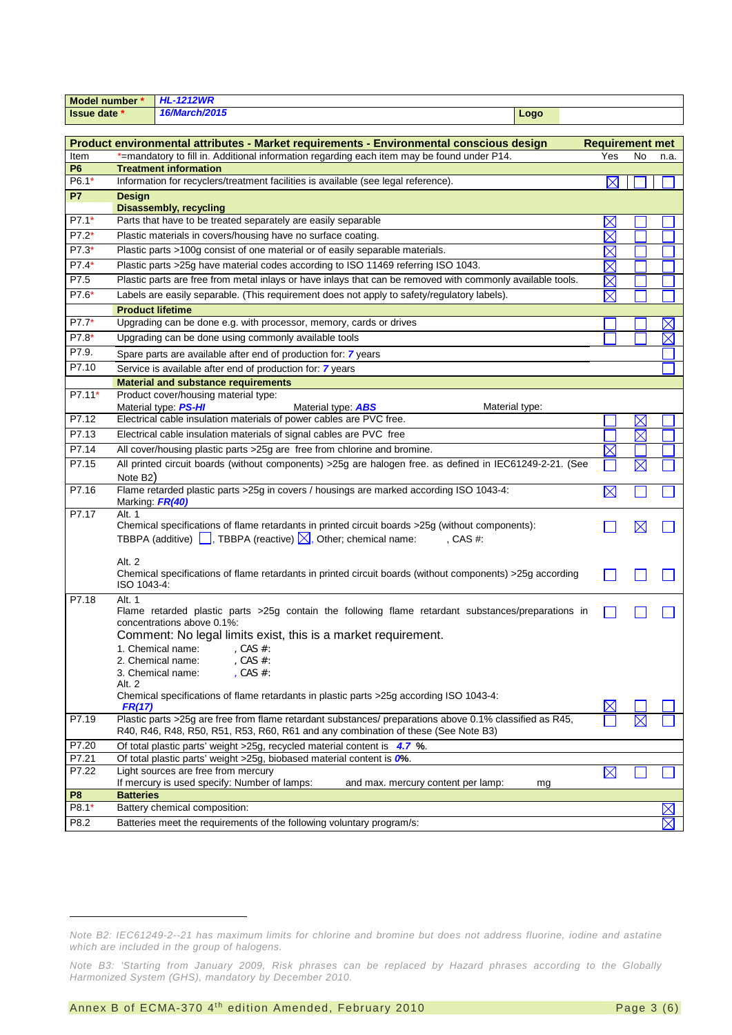| <b>HL-1212WR</b><br>Model number * |                                                                                                |                                                                                                                                                                                              |                        |                           |             |  |  |
|------------------------------------|------------------------------------------------------------------------------------------------|----------------------------------------------------------------------------------------------------------------------------------------------------------------------------------------------|------------------------|---------------------------|-------------|--|--|
| Issue date *                       |                                                                                                | 16/March/2015<br>Logo                                                                                                                                                                        |                        |                           |             |  |  |
|                                    |                                                                                                |                                                                                                                                                                                              |                        |                           |             |  |  |
|                                    |                                                                                                | Product environmental attributes - Market requirements - Environmental conscious design                                                                                                      | <b>Requirement met</b> |                           |             |  |  |
| Item                               | *=mandatory to fill in. Additional information regarding each item may be found under P14.     | Yes                                                                                                                                                                                          | No                     | n.a.                      |             |  |  |
| P6                                 |                                                                                                | <b>Treatment information</b>                                                                                                                                                                 |                        |                           |             |  |  |
| $P6.1*$                            | Information for recyclers/treatment facilities is available (see legal reference).<br>$\times$ |                                                                                                                                                                                              |                        |                           |             |  |  |
| <b>P7</b>                          | <b>Design</b>                                                                                  |                                                                                                                                                                                              |                        |                           |             |  |  |
|                                    |                                                                                                | <b>Disassembly, recycling</b>                                                                                                                                                                |                        |                           |             |  |  |
| P7.1*                              | Parts that have to be treated separately are easily separable<br>$\times$                      |                                                                                                                                                                                              |                        |                           |             |  |  |
| $P7.2*$                            | Plastic materials in covers/housing have no surface coating.<br>$\times$                       |                                                                                                                                                                                              |                        |                           |             |  |  |
| P7.3*                              |                                                                                                | Plastic parts >100g consist of one material or of easily separable materials.                                                                                                                | $\times$               |                           |             |  |  |
| P7.4*                              |                                                                                                | Plastic parts >25g have material codes according to ISO 11469 referring ISO 1043.                                                                                                            | $\times$               |                           |             |  |  |
| P7.5                               |                                                                                                | Plastic parts are free from metal inlays or have inlays that can be removed with commonly available tools.                                                                                   | $\boxtimes$            |                           |             |  |  |
| $P7.6*$                            |                                                                                                | Labels are easily separable. (This requirement does not apply to safety/regulatory labels).                                                                                                  | $\times$               |                           |             |  |  |
|                                    | <b>Product lifetime</b>                                                                        |                                                                                                                                                                                              |                        |                           |             |  |  |
| P7.7*                              |                                                                                                | Upgrading can be done e.g. with processor, memory, cards or drives                                                                                                                           |                        |                           | $\times$    |  |  |
| P7.8*                              |                                                                                                | Upgrading can be done using commonly available tools                                                                                                                                         |                        |                           | $\times$    |  |  |
| P7.9.                              |                                                                                                | Spare parts are available after end of production for: 7 years                                                                                                                               |                        |                           |             |  |  |
| P7.10                              |                                                                                                | Service is available after end of production for: 7 years                                                                                                                                    |                        |                           |             |  |  |
|                                    |                                                                                                | <b>Material and substance requirements</b>                                                                                                                                                   |                        |                           |             |  |  |
| P7.11*                             |                                                                                                | Product cover/housing material type:                                                                                                                                                         |                        |                           |             |  |  |
|                                    |                                                                                                | Material type PS-HI<br>Material type: <b>ABS</b><br>Material type:                                                                                                                           |                        |                           |             |  |  |
| P7.12                              |                                                                                                | Electrical cable insulation materials of power cables are PVC free.                                                                                                                          |                        | $\boxtimes$               |             |  |  |
| P7.13                              |                                                                                                | Electrical cable insulation materials of signal cables are PVC free                                                                                                                          |                        | $\times$                  |             |  |  |
| P7.14                              |                                                                                                | All cover/housing plastic parts >25g are free from chlorine and bromine.                                                                                                                     | $\times$               |                           |             |  |  |
| P7.15                              |                                                                                                | All printed circuit boards (without components) > 25g are halogen free. as defined in IEC61249-2-21. (See                                                                                    |                        | $\boldsymbol{\mathsf{X}}$ |             |  |  |
|                                    | Note B <sub>2</sub> )                                                                          |                                                                                                                                                                                              |                        |                           |             |  |  |
| P7.16                              | Marking: FR(40)                                                                                | Flame retarded plastic parts >25g in covers / housings are marked according ISO 1043-4:                                                                                                      | $\boxtimes$            |                           |             |  |  |
| P7.17                              | Alt. 1                                                                                         | Chemical specifications of flame retardants in printed circuit boards >25g (without components):                                                                                             |                        | $\times$                  |             |  |  |
|                                    |                                                                                                | TBBPA (additive) $\Box$ , TBBPA (reactive) $\Box$ , Other; chemical name:<br>, CAS $#$ :                                                                                                     |                        |                           |             |  |  |
|                                    |                                                                                                |                                                                                                                                                                                              |                        |                           |             |  |  |
|                                    | Alt. 2                                                                                         |                                                                                                                                                                                              |                        |                           |             |  |  |
|                                    | ISO 1043-4:                                                                                    | Chemical specifications of flame retardants in printed circuit boards (without components) >25g according                                                                                    |                        |                           |             |  |  |
|                                    |                                                                                                |                                                                                                                                                                                              |                        |                           |             |  |  |
| P7.18                              | Alt. 1                                                                                         | Flame retarded plastic parts >25g contain the following flame retardant substances/preparations in                                                                                           |                        |                           |             |  |  |
|                                    |                                                                                                | concentrations above 0.1%:                                                                                                                                                                   |                        |                           |             |  |  |
|                                    |                                                                                                | Comment: No legal limits exist, this is a market requirement.                                                                                                                                |                        |                           |             |  |  |
|                                    |                                                                                                | 1. Chemical name:<br>, CAS #:<br>, CAS $#$ :<br>2. Chemical name:                                                                                                                            |                        |                           |             |  |  |
|                                    |                                                                                                | , CAS $#$ :<br>3. Chemical name:                                                                                                                                                             |                        |                           |             |  |  |
|                                    | Alt. 2                                                                                         |                                                                                                                                                                                              |                        |                           |             |  |  |
|                                    | <b>FR(17)</b>                                                                                  | Chemical specifications of flame retardants in plastic parts >25g according ISO 1043-4:                                                                                                      |                        |                           |             |  |  |
| P7.19                              |                                                                                                | Plastic parts >25g are free from flame retardant substances/ preparations above 0.1% classified as R45,<br>R40, R46, R48, R50, R51, R53, R60, R61 and any combination of these (See Note B3) |                        |                           |             |  |  |
| P7.20                              | Of total plastic parts' weight >25g, recycled material content is 4.7 %.                       |                                                                                                                                                                                              |                        |                           |             |  |  |
| P7.21                              |                                                                                                | Of total plastic parts' weight >25g, biobased material content is 0%.                                                                                                                        |                        |                           |             |  |  |
| P7.22                              | Light sources are free from mercury<br>$\boxtimes$                                             |                                                                                                                                                                                              |                        |                           |             |  |  |
|                                    | If mercury is used specify: Number of lamps:<br>and max. mercury content per lamp:<br>mg       |                                                                                                                                                                                              |                        |                           |             |  |  |
| P <sub>8</sub><br>P8.1*            | <b>Batteries</b>                                                                               |                                                                                                                                                                                              |                        |                           |             |  |  |
|                                    |                                                                                                | Battery chemical composition:                                                                                                                                                                |                        |                           |             |  |  |
| P8.2                               |                                                                                                | Batteries meet the requirements of the following voluntary program/s:                                                                                                                        |                        |                           | $\boxtimes$ |  |  |

j

<span id="page-2-0"></span>*Note B2: IEC61249-2--21 has maximum limits for chlorine and bromine but does not address fluorine, iodine and astatine which are included in the group of halogens.* 

*Note B3: 'Starting from January 2009, Risk phrases can be replaced by Hazard phrases according to the Globally Harmonized System (GHS), mandatory by December 2010.*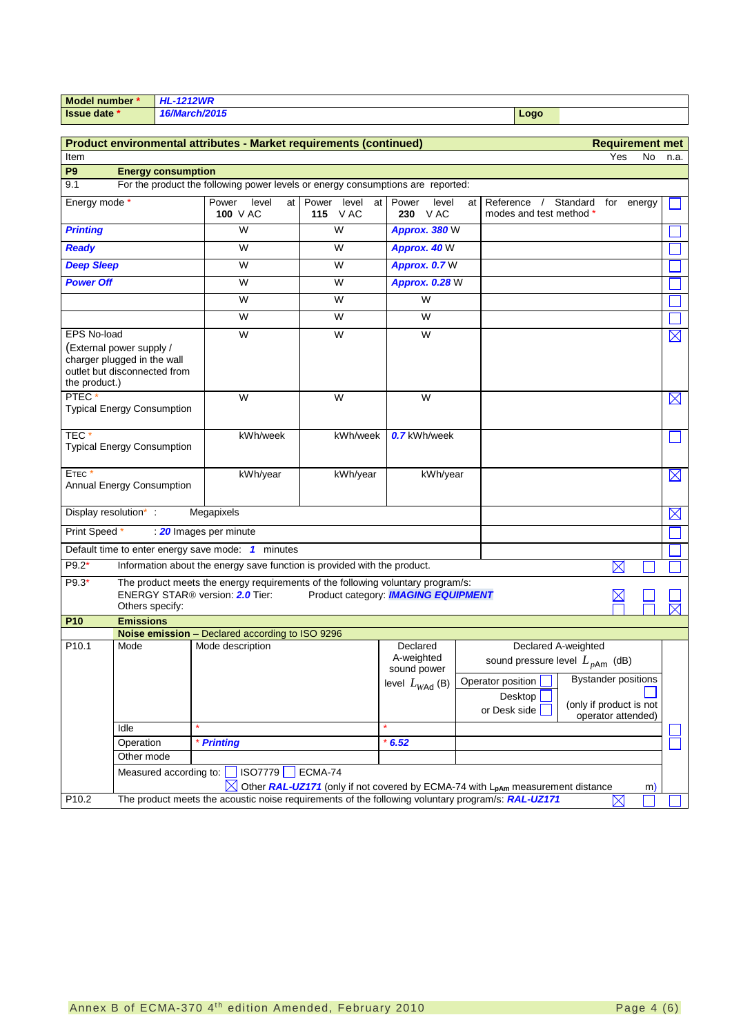|                                                                                                          | Model number     | <b>HL-1212WR</b>          |                                                                                                                                |                                                                                                       |                                                                     |    |                                                                     |                                                |             |                            |                |
|----------------------------------------------------------------------------------------------------------|------------------|---------------------------|--------------------------------------------------------------------------------------------------------------------------------|-------------------------------------------------------------------------------------------------------|---------------------------------------------------------------------|----|---------------------------------------------------------------------|------------------------------------------------|-------------|----------------------------|----------------|
| <b>Issue date *</b>                                                                                      |                  | 16/March/2015<br>Logo     |                                                                                                                                |                                                                                                       |                                                                     |    |                                                                     |                                                |             |                            |                |
| Product environmental attributes - Market requirements (continued)<br><b>Requirement met</b>             |                  |                           |                                                                                                                                |                                                                                                       |                                                                     |    |                                                                     |                                                |             |                            |                |
| Item                                                                                                     | No<br>Yes        |                           |                                                                                                                                |                                                                                                       |                                                                     |    | n.a.                                                                |                                                |             |                            |                |
| P <sub>9</sub>                                                                                           |                  | <b>Energy consumption</b> |                                                                                                                                |                                                                                                       |                                                                     |    |                                                                     |                                                |             |                            |                |
| 9.1                                                                                                      |                  |                           | For the product the following power levels or energy consumptions are reported:                                                |                                                                                                       |                                                                     |    |                                                                     |                                                |             |                            |                |
| Energy mode *                                                                                            |                  |                           | Power<br>level<br>at l<br><b>100 V AC</b>                                                                                      | Power level<br><b>115</b> VAC                                                                         | at Power<br>level<br>230 VAC                                        | at | Reference /<br>modes and test method *                              | Standard for energy                            |             |                            |                |
| <b>Printing</b>                                                                                          |                  |                           | W                                                                                                                              | W                                                                                                     | Approx. 380 W                                                       |    |                                                                     |                                                |             |                            |                |
| <b>Ready</b>                                                                                             |                  |                           | W                                                                                                                              | W                                                                                                     | Approx. 40 W                                                        |    |                                                                     |                                                |             |                            |                |
| <b>Deep Sleep</b>                                                                                        |                  |                           | W                                                                                                                              | W                                                                                                     | Approx. 0.7 W                                                       |    |                                                                     |                                                |             |                            |                |
| <b>Power Off</b>                                                                                         |                  |                           | W                                                                                                                              | W                                                                                                     | <b>Approx. 0.28 W</b>                                               |    |                                                                     |                                                |             |                            |                |
|                                                                                                          |                  |                           | W                                                                                                                              | W                                                                                                     | W                                                                   |    |                                                                     |                                                |             |                            |                |
|                                                                                                          |                  |                           | W                                                                                                                              | W                                                                                                     | W                                                                   |    |                                                                     |                                                |             |                            |                |
| <b>EPS No-load</b>                                                                                       |                  |                           | W                                                                                                                              | W                                                                                                     | W                                                                   |    |                                                                     |                                                |             |                            | $\boxtimes$    |
| (External power supply /<br>charger plugged in the wall<br>outlet but disconnected from<br>the product.) |                  |                           |                                                                                                                                |                                                                                                       |                                                                     |    |                                                                     |                                                |             |                            |                |
| PTEC*<br><b>Typical Energy Consumption</b>                                                               |                  |                           | W                                                                                                                              | W                                                                                                     | W                                                                   |    |                                                                     |                                                |             |                            | $\boxtimes$    |
| TEC*<br><b>Typical Energy Consumption</b>                                                                |                  |                           | kWh/week                                                                                                                       | kWh/week                                                                                              | 0.7 kWh/week                                                        |    |                                                                     |                                                |             |                            | $\mathbb{R}^2$ |
| ETEC*<br>Annual Energy Consumption                                                                       |                  |                           | kWh/year                                                                                                                       | kWh/year                                                                                              | kWh/year                                                            |    |                                                                     |                                                |             |                            | $\boxtimes$    |
| Display resolution* :                                                                                    |                  |                           | Megapixels                                                                                                                     |                                                                                                       |                                                                     |    |                                                                     |                                                |             |                            | $\boxtimes$    |
| Print Speed *                                                                                            |                  |                           | 20 Images per minute                                                                                                           |                                                                                                       |                                                                     |    |                                                                     |                                                |             |                            |                |
|                                                                                                          |                  |                           | Default time to enter energy save mode: 1 minutes                                                                              |                                                                                                       |                                                                     |    |                                                                     |                                                |             |                            |                |
| $P9.2*$                                                                                                  |                  |                           | Information about the energy save function is provided with the product.                                                       |                                                                                                       |                                                                     |    |                                                                     |                                                | $\boxtimes$ |                            |                |
| $P9.3*$                                                                                                  | Others specify:  |                           | The product meets the energy requirements of the following voluntary program/s:<br>ENERGY STAR <sup>®</sup> version: 2.0 Tier: | Product category: <b>IMAGING EQUIPMENT</b>                                                            |                                                                     |    |                                                                     |                                                |             |                            |                |
| P <sub>10</sub>                                                                                          | <b>Emissions</b> |                           |                                                                                                                                |                                                                                                       |                                                                     |    |                                                                     |                                                |             |                            |                |
| P10.1                                                                                                    | Mode             |                           | Noise emission - Declared according to ISO 9296<br>Mode description                                                            |                                                                                                       | Declared<br>A-weighted<br>sound power<br>level $L_{W\text{Ad}}$ (B) |    | sound pressure level $L_{pAm}$ (dB)<br>Operator position<br>Desktop | Declared A-weighted<br>(only if product is not |             | <b>Bystander positions</b> |                |
|                                                                                                          | Idle             |                           |                                                                                                                                |                                                                                                       |                                                                     |    | or Desk side                                                        |                                                |             | operator attended)         |                |
|                                                                                                          | Operation        |                           | * Printing                                                                                                                     |                                                                                                       | $*6.52$                                                             |    |                                                                     |                                                |             |                            |                |
|                                                                                                          | Other mode       |                           |                                                                                                                                |                                                                                                       |                                                                     |    |                                                                     |                                                |             |                            |                |
|                                                                                                          |                  | Measured according to:    | <b>ISO7779</b>                                                                                                                 | ECMA-74<br>Other RAL-UZ171 (only if not covered by ECMA-74 with L <sub>pAm</sub> measurement distance |                                                                     |    |                                                                     |                                                |             |                            |                |
| P10.2                                                                                                    |                  |                           | The product meets the acoustic noise requirements of the following voluntary program/s: RAL-UZ171                              |                                                                                                       |                                                                     |    |                                                                     |                                                | $\boxtimes$ | m)                         |                |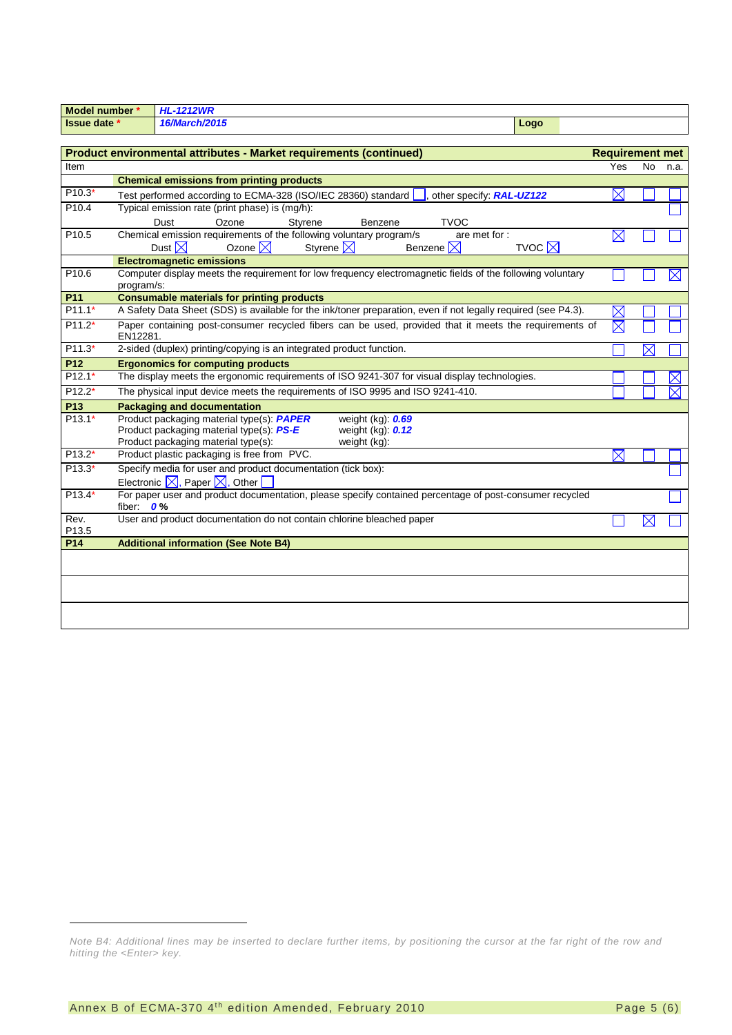| Model number *            |                                                                                                 | <b>HL-1212WR</b>                                                                                                                                                                            |                        |           |             |
|---------------------------|-------------------------------------------------------------------------------------------------|---------------------------------------------------------------------------------------------------------------------------------------------------------------------------------------------|------------------------|-----------|-------------|
| Issue date *              |                                                                                                 | 16/March/2015<br>Logo                                                                                                                                                                       |                        |           |             |
|                           |                                                                                                 |                                                                                                                                                                                             |                        |           |             |
|                           |                                                                                                 | Product environmental attributes - Market requirements (continued)                                                                                                                          | <b>Requirement met</b> |           |             |
| Item                      |                                                                                                 |                                                                                                                                                                                             | Yes                    | <b>No</b> | n.a.        |
|                           |                                                                                                 | <b>Chemical emissions from printing products</b>                                                                                                                                            |                        |           |             |
| P10.3*                    |                                                                                                 | Test performed according to ECMA-328 (ISO/IEC 28360) standard<br>other specify: RAL-UZ122                                                                                                   | $\boxtimes$            |           |             |
| P <sub>10.4</sub>         |                                                                                                 | Typical emission rate (print phase) is (mg/h):                                                                                                                                              |                        |           |             |
|                           |                                                                                                 | Ozone<br><b>TVOC</b><br>Dust<br>Styrene<br>Benzene                                                                                                                                          |                        |           |             |
| P10.5                     |                                                                                                 | Chemical emission requirements of the following voluntary program/s<br>are met for :                                                                                                        | $\boxtimes$            |           |             |
|                           |                                                                                                 | TVOC $\nabla$<br>Dust $\boxtimes$<br>Ozone $\boxtimes$<br>Styrene $\nabla$<br>Benzene $\nabla$                                                                                              |                        |           |             |
|                           |                                                                                                 | <b>Electromagnetic emissions</b>                                                                                                                                                            |                        |           |             |
| P <sub>10.6</sub>         | program/s:                                                                                      | Computer display meets the requirement for low frequency electromagnetic fields of the following voluntary                                                                                  |                        |           | $\times$    |
| P11                       |                                                                                                 | <b>Consumable materials for printing products</b>                                                                                                                                           |                        |           |             |
| $P11.1*$                  |                                                                                                 | A Safety Data Sheet (SDS) is available for the ink/toner preparation, even if not legally required (see P4.3).                                                                              | $\boxtimes$            |           |             |
| $P11.2*$                  | EN12281.                                                                                        | Paper containing post-consumer recycled fibers can be used, provided that it meets the requirements of                                                                                      | $\nabla$               |           |             |
| $P11.3*$                  | 2-sided (duplex) printing/copying is an integrated product function.<br>$\mathsf{\overline{X}}$ |                                                                                                                                                                                             |                        |           |             |
| P <sub>12</sub>           |                                                                                                 | <b>Ergonomics for computing products</b>                                                                                                                                                    |                        |           |             |
| $P12.1*$                  |                                                                                                 | The display meets the ergonomic requirements of ISO 9241-307 for visual display technologies.                                                                                               |                        |           | $\boxtimes$ |
| $P12.2*$                  | The physical input device meets the requirements of ISO 9995 and ISO 9241-410.                  |                                                                                                                                                                                             |                        |           |             |
| P13                       |                                                                                                 | <b>Packaging and documentation</b>                                                                                                                                                          |                        |           |             |
| $P13.1*$                  |                                                                                                 | Product packaging material type(s): PAPER<br>weight (kg): 0.69<br>Product packaging material type(s): PS-E<br>weight $(kg)$ : $0.12$<br>Product packaging material type(s):<br>weight (kg): |                        |           |             |
| P13.2*                    |                                                                                                 | Product plastic packaging is free from PVC.                                                                                                                                                 | $\boxtimes$            |           |             |
| $P13.3*$                  |                                                                                                 | Specify media for user and product documentation (tick box):                                                                                                                                |                        |           |             |
|                           |                                                                                                 | Electronic $\boxtimes$ , Paper $\boxtimes$ , Other                                                                                                                                          |                        |           |             |
| $P13.4*$                  | fiber: $0\%$                                                                                    | For paper user and product documentation, please specify contained percentage of post-consumer recycled                                                                                     |                        |           |             |
| Rev.<br>P <sub>13.5</sub> |                                                                                                 | User and product documentation do not contain chlorine bleached paper                                                                                                                       |                        | $\times$  |             |
| P14                       |                                                                                                 | <b>Additional information (See Note B4)</b>                                                                                                                                                 |                        |           |             |
|                           |                                                                                                 |                                                                                                                                                                                             |                        |           |             |
|                           |                                                                                                 |                                                                                                                                                                                             |                        |           |             |
|                           |                                                                                                 |                                                                                                                                                                                             |                        |           |             |
|                           |                                                                                                 |                                                                                                                                                                                             |                        |           |             |

-

<span id="page-4-0"></span>*Note B4: Additional lines may be inserted to declare further items, by positioning the cursor at the far right of the row and hitting the <Enter> key.*